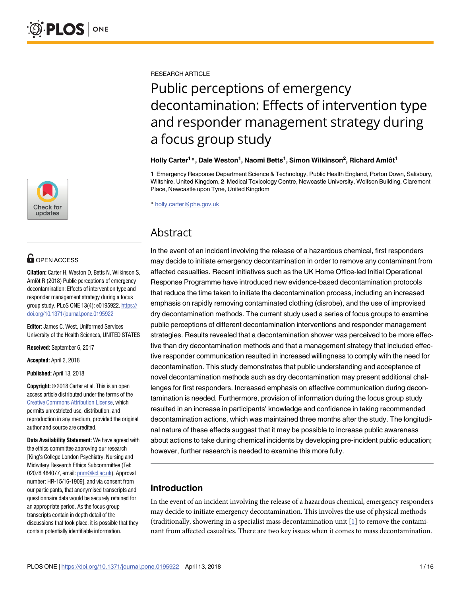

# **OPEN ACCESS**

**Citation:** Carter H, Weston D, Betts N, Wilkinson S, Amlôt R (2018) Public perceptions of emergency decontamination: Effects of intervention type and responder management strategy during a focus group study. PLoS ONE 13(4): e0195922. [https://](https://doi.org/10.1371/journal.pone.0195922) [doi.org/10.1371/journal.pone.0195922](https://doi.org/10.1371/journal.pone.0195922)

**Editor:** James C. West, Uniformed Services University of the Health Sciences, UNITED STATES

**Received:** September 6, 2017

**Accepted:** April 2, 2018

**Published:** April 13, 2018

**Copyright:** © 2018 Carter et al. This is an open access article distributed under the terms of the Creative Commons [Attribution](http://creativecommons.org/licenses/by/4.0/) License, which permits unrestricted use, distribution, and reproduction in any medium, provided the original author and source are credited.

**Data Availability Statement:** We have agreed with the ethics committee approving our research [King's College London Psychiatry, Nursing and Midwifery Research Ethics Subcommittee (Tel: 02078 484077, email: [pnm@kcl.ac.uk\)](mailto:pnm@kcl.ac.uk). Approval number: HR-15/16-1909], and via consent from our participants, that anonymised transcripts and questionnaire data would be securely retained for an appropriate period. As the focus group transcripts contain in depth detail of the discussions that took place, it is possible that they contain potentially identifiable information.

<span id="page-0-0"></span>RESEARCH ARTICLE

# Public perceptions of emergency decontamination: Effects of intervention type and responder management strategy during a focus group study

#### ${\mathsf H}$ olly Carter $^1*$ , Dale Weston $^1$ , Naomi Betts $^1$ , Simon Wilkinson $^2$ , Richard Amlôt $^1$

**1** Emergency Response Department Science & Technology, Public Health England, Porton Down, Salisbury, Wiltshire, United Kingdom, **2** Medical Toxicology Centre, Newcastle University, Wolfson Building, Claremont Place, Newcastle upon Tyne, United Kingdom

\* holly.carter@phe.gov.uk

## Abstract

In the event of an incident involving the release of a hazardous chemical, first responders may decide to initiate emergency decontamination in order to remove any contaminant from affected casualties. Recent initiatives such as the UK Home Office-led Initial Operational Response Programme have introduced new evidence-based decontamination protocols that reduce the time taken to initiate the decontamination process, including an increased emphasis on rapidly removing contaminated clothing (disrobe), and the use of improvised dry decontamination methods. The current study used a series of focus groups to examine public perceptions of different decontamination interventions and responder management strategies. Results revealed that a decontamination shower was perceived to be more effective than dry decontamination methods and that a management strategy that included effective responder communication resulted in increased willingness to comply with the need for decontamination. This study demonstrates that public understanding and acceptance of novel decontamination methods such as dry decontamination may present additional challenges for first responders. Increased emphasis on effective communication during decontamination is needed. Furthermore, provision of information during the focus group study resulted in an increase in participants' knowledge and confidence in taking recommended decontamination actions, which was maintained three months after the study. The longitudinal nature of these effects suggest that it may be possible to increase public awareness about actions to take during chemical incidents by developing pre-incident public education; however, further research is needed to examine this more fully.

## **Introduction**

In the event of an incident involving the release of a hazardous chemical, emergency responders may decide to initiate emergency decontamination. This involves the use of physical methods (traditionally, showering in a specialist mass decontamination unit [[1](#page-14-0)] to remove the contaminant from affected casualties. There are two key issues when it comes to mass decontamination.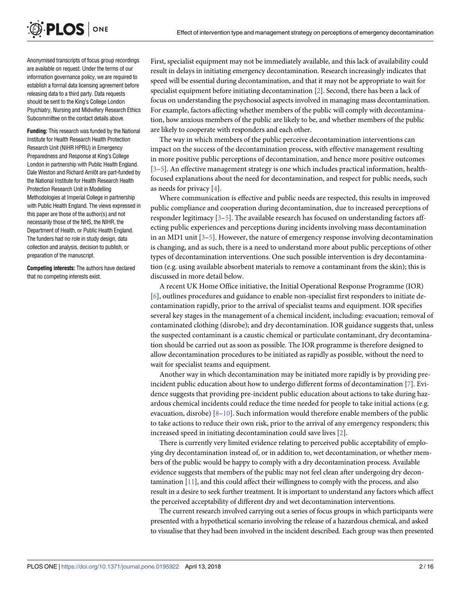<span id="page-1-0"></span>

Anonymised transcripts of focus group recordings are available on request. Under the terms of our information governance policy, we are required to establish a formal data licensing agreement before releasing data to a third party. Data requests should be sent to the King's College London Psychiatry, Nursing and Midwifery Research Ethics Subcommittee on the contact details above.

**Funding:** This research was funded by the National Institute for Health Research Health Protection Research Unit (NIHR HPRU) in Emergency Preparedness and Response at King's College London in partnership with Public Health England. Dale Weston and Richard Amlôt are part-funded by the National Institute for Health Research Health Protection Research Unit in Modelling Methodologies at Imperial College in partnership with Public Health England. The views expressed in this paper are those of the author(s) and not necessarily those of the NHS, the NIHR, the Department of Health, or Public Health England. The funders had no role in study design, data collection and analysis, decision to publish, or preparation of the manuscript.

**Competing interests:** The authors have declared that no competing interests exist.

First, specialist equipment may not be immediately available, and this lack of availability could result in delays in initiating emergency decontamination. Research increasingly indicates that speed will be essential during decontamination, and that it may not be appropriate to wait for specialist equipment before initiating decontamination [\[2\]](#page-14-0). Second, there has been a lack of focus on understanding the psychosocial aspects involved in managing mass decontamination. For example, factors affecting whether members of the public will comply with decontamination, how anxious members of the public are likely to be, and whether members of the public are likely to cooperate with responders and each other.

The way in which members of the public perceive decontamination interventions can impact on the success of the decontamination process, with effective management resulting in more positive public perceptions of decontamination, and hence more positive outcomes [\[3–5](#page-14-0)]. An effective management strategy is one which includes practical information, healthfocused explanations about the need for decontamination, and respect for public needs, such as needs for privacy [[4\]](#page-14-0).

Where communication is effective and public needs are respected, this results in improved public compliance and cooperation during decontamination, due to increased perceptions of responder legitimacy [\[3–5\]](#page-14-0). The available research has focused on understanding factors affecting public experiences and perceptions during incidents involving mass decontamination in an MD1 unit  $[3-5]$  $[3-5]$  $[3-5]$  $[3-5]$  $[3-5]$ . However, the nature of emergency response involving decontamination is changing, and as such, there is a need to understand more about public perceptions of other types of decontamination interventions. One such possible intervention is dry decontamination (e.g. using available absorbent materials to remove a contaminant from the skin); this is discussed in more detail below.

A recent UK Home Office initiative, the Initial Operational Response Programme (IOR) [\[6](#page-14-0)], outlines procedures and guidance to enable non-specialist first responders to initiate decontamination rapidly, prior to the arrival of specialist teams and equipment. IOR specifies several key stages in the management of a chemical incident, including: evacuation; removal of contaminated clothing (disrobe); and dry decontamination. IOR guidance suggests that, unless the suspected contaminant is a caustic chemical or particulate contaminant, dry decontamination should be carried out as soon as possible. The IOR programme is therefore designed to allow decontamination procedures to be initiated as rapidly as possible, without the need to wait for specialist teams and equipment.

Another way in which decontamination may be initiated more rapidly is by providing preincident public education about how to undergo different forms of decontamination [\[7\]](#page-14-0). Evidence suggests that providing pre-incident public education about actions to take during hazardous chemical incidents could reduce the time needed for people to take initial actions (e.g. evacuation, disrobe) [\[8–10\]](#page-14-0). Such information would therefore enable members of the public to take actions to reduce their own risk, prior to the arrival of any emergency responders; this increased speed in initiating decontamination could save lives [\[2\]](#page-14-0).

There is currently very limited evidence relating to perceived public acceptability of employing dry decontamination instead of, or in addition to, wet decontamination, or whether members of the public would be happy to comply with a dry decontamination process. Available evidence suggests that members of the public may not feel clean after undergoing dry decontamination [\[11\]](#page-15-0), and this could affect their willingness to comply with the process, and also result in a desire to seek further treatment. It is important to understand any factors which affect the perceived acceptability of different dry and wet decontamination interventions.

The current research involved carrying out a series of focus groups in which participants were presented with a hypothetical scenario involving the release of a hazardous chemical, and asked to visualise that they had been involved in the incident described. Each group was then presented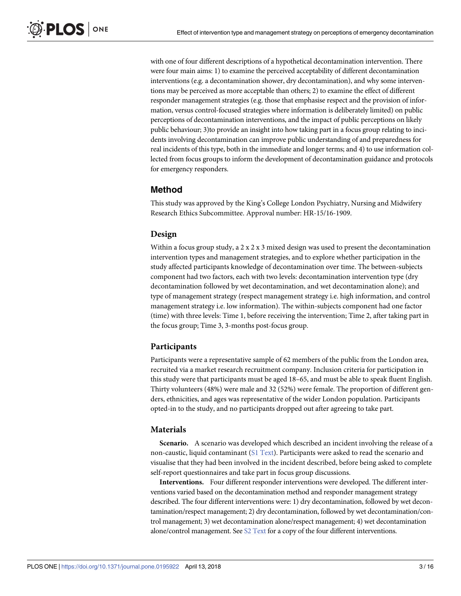with one of four different descriptions of a hypothetical decontamination intervention. There were four main aims: 1) to examine the perceived acceptability of different decontamination interventions (e.g. a decontamination shower, dry decontamination), and why some interventions may be perceived as more acceptable than others; 2) to examine the effect of different responder management strategies (e.g. those that emphasise respect and the provision of information, versus control-focused strategies where information is deliberately limited) on public perceptions of decontamination interventions, and the impact of public perceptions on likely public behaviour; 3)to provide an insight into how taking part in a focus group relating to incidents involving decontamination can improve public understanding of and preparedness for real incidents of this type, both in the immediate and longer terms; and 4) to use information collected from focus groups to inform the development of decontamination guidance and protocols for emergency responders.

#### **Method**

This study was approved by the King's College London Psychiatry, Nursing and Midwifery Research Ethics Subcommittee. Approval number: HR-15/16-1909.

#### **Design**

Within a focus group study, a  $2 \times 2 \times 3$  mixed design was used to present the decontamination intervention types and management strategies, and to explore whether participation in the study affected participants knowledge of decontamination over time. The between-subjects component had two factors, each with two levels: decontamination intervention type (dry decontamination followed by wet decontamination, and wet decontamination alone); and type of management strategy (respect management strategy i.e. high information, and control management strategy i.e. low information). The within-subjects component had one factor (time) with three levels: Time 1, before receiving the intervention; Time 2, after taking part in the focus group; Time 3, 3-months post-focus group.

#### **Participants**

Participants were a representative sample of 62 members of the public from the London area, recruited via a market research recruitment company. Inclusion criteria for participation in this study were that participants must be aged 18–65, and must be able to speak fluent English. Thirty volunteers (48%) were male and 32 (52%) were female. The proportion of different genders, ethnicities, and ages was representative of the wider London population. Participants opted-in to the study, and no participants dropped out after agreeing to take part.

#### **Materials**

**Scenario.** A scenario was developed which described an incident involving the release of a non-caustic, liquid contaminant (S1 [Text\)](#page-13-0). Participants were asked to read the scenario and visualise that they had been involved in the incident described, before being asked to complete self-report questionnaires and take part in focus group discussions.

**Interventions.** Four different responder interventions were developed. The different interventions varied based on the decontamination method and responder management strategy described. The four different interventions were: 1) dry decontamination, followed by wet decontamination/respect management; 2) dry decontamination, followed by wet decontamination/control management; 3) wet decontamination alone/respect management; 4) wet decontamination alone/control management. See S2 [Text](#page-13-0) for a copy of the four different interventions.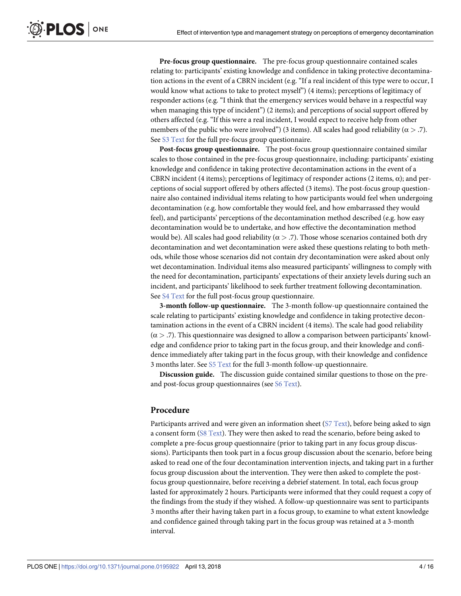**Pre-focus group questionnaire.** The pre-focus group questionnaire contained scales relating to: participants' existing knowledge and confidence in taking protective decontamination actions in the event of a CBRN incident (e.g. "If a real incident of this type were to occur, I would know what actions to take to protect myself") (4 items); perceptions of legitimacy of responder actions (e.g. "I think that the emergency services would behave in a respectful way when managing this type of incident") (2 items); and perceptions of social support offered by others affected (e.g. "If this were a real incident, I would expect to receive help from other members of the public who were involved") (3 items). All scales had good reliability ( $\alpha$  > .7). See S3 [Text](#page-13-0) for the full pre-focus group questionnaire.

**Post-focus group questionnaire.** The post-focus group questionnaire contained similar scales to those contained in the pre-focus group questionnaire, including: participants' existing knowledge and confidence in taking protective decontamination actions in the event of a CBRN incident (4 items); perceptions of legitimacy of responder actions (2 items,  $\alpha$ ); and perceptions of social support offered by others affected (3 items). The post-focus group questionnaire also contained individual items relating to how participants would feel when undergoing decontamination (e.g. how comfortable they would feel, and how embarrassed they would feel), and participants' perceptions of the decontamination method described (e.g. how easy decontamination would be to undertake, and how effective the decontamination method would be). All scales had good reliability ( $\alpha$  > .7). Those whose scenarios contained both dry decontamination and wet decontamination were asked these questions relating to both methods, while those whose scenarios did not contain dry decontamination were asked about only wet decontamination. Individual items also measured participants' willingness to comply with the need for decontamination, participants' expectations of their anxiety levels during such an incident, and participants' likelihood to seek further treatment following decontamination. See S4 [Text](#page-14-0) for the full post-focus group questionnaire.

**3-month follow-up questionnaire.** The 3-month follow-up questionnaire contained the scale relating to participants' existing knowledge and confidence in taking protective decontamination actions in the event of a CBRN incident (4 items). The scale had good reliability (α *>* .7). This questionnaire was designed to allow a comparison between participants' knowledge and confidence prior to taking part in the focus group, and their knowledge and confidence immediately after taking part in the focus group, with their knowledge and confidence 3 months later. See S5 [Text](#page-14-0) for the full 3-month follow-up questionnaire.

**Discussion guide.** The discussion guide contained similar questions to those on the preand post-focus group questionnaires (see S6 [Text](#page-14-0)).

#### **Procedure**

Participants arrived and were given an information sheet (S7 [Text](#page-14-0)), before being asked to sign a consent form (S8 [Text\)](#page-14-0). They were then asked to read the scenario, before being asked to complete a pre-focus group questionnaire (prior to taking part in any focus group discussions). Participants then took part in a focus group discussion about the scenario, before being asked to read one of the four decontamination intervention injects, and taking part in a further focus group discussion about the intervention. They were then asked to complete the postfocus group questionnaire, before receiving a debrief statement. In total, each focus group lasted for approximately 2 hours. Participants were informed that they could request a copy of the findings from the study if they wished. A follow-up questionnaire was sent to participants 3 months after their having taken part in a focus group, to examine to what extent knowledge and confidence gained through taking part in the focus group was retained at a 3-month interval.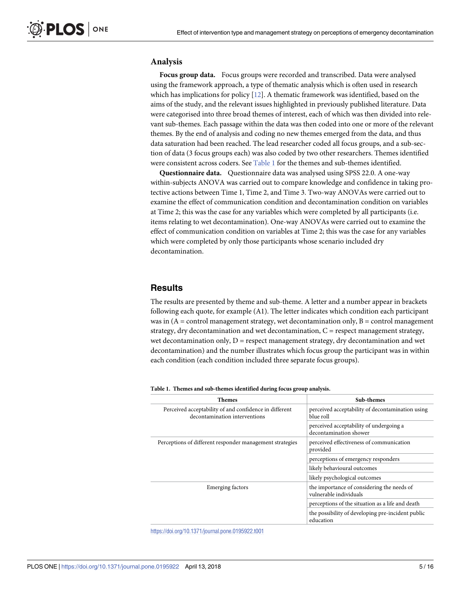### <span id="page-4-0"></span>**Analysis**

**Focus group data.** Focus groups were recorded and transcribed. Data were analysed using the framework approach, a type of thematic analysis which is often used in research which has implications for policy [\[12\]](#page-15-0). A thematic framework was identified, based on the aims of the study, and the relevant issues highlighted in previously published literature. Data were categorised into three broad themes of interest, each of which was then divided into relevant sub-themes. Each passage within the data was then coded into one or more of the relevant themes. By the end of analysis and coding no new themes emerged from the data, and thus data saturation had been reached. The lead researcher coded all focus groups, and a sub-section of data (3 focus groups each) was also coded by two other researchers. Themes identified were consistent across coders. See Table 1 for the themes and sub-themes identified.

**Questionnaire data.** Questionnaire data was analysed using SPSS 22.0. A one-way within-subjects ANOVA was carried out to compare knowledge and confidence in taking protective actions between Time 1, Time 2, and Time 3. Two-way ANOVAs were carried out to examine the effect of communication condition and decontamination condition on variables at Time 2; this was the case for any variables which were completed by all participants (i.e. items relating to wet decontamination). One-way ANOVAs were carried out to examine the effect of communication condition on variables at Time 2; this was the case for any variables which were completed by only those participants whose scenario included dry decontamination.

### **Results**

The results are presented by theme and sub-theme. A letter and a number appear in brackets following each quote, for example (A1). The letter indicates which condition each participant was in  $(A = control management strategy, wet decontamination only, B = control management$ strategy, dry decontamination and wet decontamination,  $C =$  respect management strategy, wet decontamination only,  $D =$  respect management strategy, dry decontamination and wet decontamination) and the number illustrates which focus group the participant was in within each condition (each condition included three separate focus groups).

| Themes                                                                                  | Sub-themes                                                           |  |  |  |
|-----------------------------------------------------------------------------------------|----------------------------------------------------------------------|--|--|--|
| Perceived acceptability of and confidence in different<br>decontamination interventions | perceived acceptability of decontamination using<br>blue roll        |  |  |  |
|                                                                                         | perceived acceptability of undergoing a<br>decontamination shower    |  |  |  |
| Perceptions of different responder management strategies                                | perceived effectiveness of communication<br>provided                 |  |  |  |
|                                                                                         | perceptions of emergency responders                                  |  |  |  |
|                                                                                         | likely behavioural outcomes                                          |  |  |  |
|                                                                                         | likely psychological outcomes                                        |  |  |  |
| Emerging factors                                                                        | the importance of considering the needs of<br>vulnerable individuals |  |  |  |
|                                                                                         | perceptions of the situation as a life and death                     |  |  |  |
|                                                                                         | the possibility of developing pre-incident public<br>education       |  |  |  |

**Table 1. Themes and sub-themes identified during focus group analysis.**

<https://doi.org/10.1371/journal.pone.0195922.t001>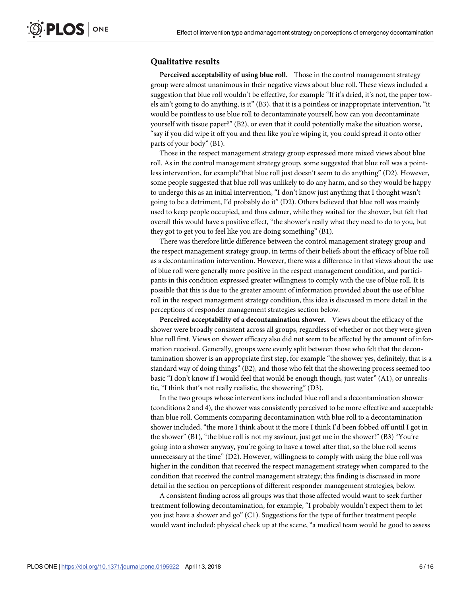#### **Qualitative results**

**Perceived acceptability of using blue roll.** Those in the control management strategy group were almost unanimous in their negative views about blue roll. These views included a suggestion that blue roll wouldn't be effective, for example "If it's dried, it's not, the paper towels ain't going to do anything, is it" (B3), that it is a pointless or inappropriate intervention, "it would be pointless to use blue roll to decontaminate yourself, how can you decontaminate yourself with tissue paper?" (B2), or even that it could potentially make the situation worse, "say if you did wipe it off you and then like you're wiping it, you could spread it onto other parts of your body" (B1).

Those in the respect management strategy group expressed more mixed views about blue roll. As in the control management strategy group, some suggested that blue roll was a pointless intervention, for example"that blue roll just doesn't seem to do anything" (D2). However, some people suggested that blue roll was unlikely to do any harm, and so they would be happy to undergo this as an initial intervention, "I don't know just anything that I thought wasn't going to be a detriment, I'd probably do it" (D2). Others believed that blue roll was mainly used to keep people occupied, and thus calmer, while they waited for the shower, but felt that overall this would have a positive effect, "the shower's really what they need to do to you, but they got to get you to feel like you are doing something" (B1).

There was therefore little difference between the control management strategy group and the respect management strategy group, in terms of their beliefs about the efficacy of blue roll as a decontamination intervention. However, there was a difference in that views about the use of blue roll were generally more positive in the respect management condition, and participants in this condition expressed greater willingness to comply with the use of blue roll. It is possible that this is due to the greater amount of information provided about the use of blue roll in the respect management strategy condition, this idea is discussed in more detail in the perceptions of responder management strategies section below.

**Perceived acceptability of a decontamination shower.** Views about the efficacy of the shower were broadly consistent across all groups, regardless of whether or not they were given blue roll first. Views on shower efficacy also did not seem to be affected by the amount of information received. Generally, groups were evenly split between those who felt that the decontamination shower is an appropriate first step, for example "the shower yes, definitely, that is a standard way of doing things" (B2), and those who felt that the showering process seemed too basic "I don't know if I would feel that would be enough though, just water" (A1), or unrealistic, "I think that's not really realistic, the showering" (D3).

In the two groups whose interventions included blue roll and a decontamination shower (conditions 2 and 4), the shower was consistently perceived to be more effective and acceptable than blue roll. Comments comparing decontamination with blue roll to a decontamination shower included, "the more I think about it the more I think I'd been fobbed off until I got in the shower" (B1), "the blue roll is not my saviour, just get me in the shower!" (B3) "You're going into a shower anyway, you're going to have a towel after that, so the blue roll seems unnecessary at the time" (D2). However, willingness to comply with using the blue roll was higher in the condition that received the respect management strategy when compared to the condition that received the control management strategy; this finding is discussed in more detail in the section on perceptions of different responder management strategies, below.

A consistent finding across all groups was that those affected would want to seek further treatment following decontamination, for example, "I probably wouldn't expect them to let you just have a shower and go" (C1). Suggestions for the type of further treatment people would want included: physical check up at the scene, "a medical team would be good to assess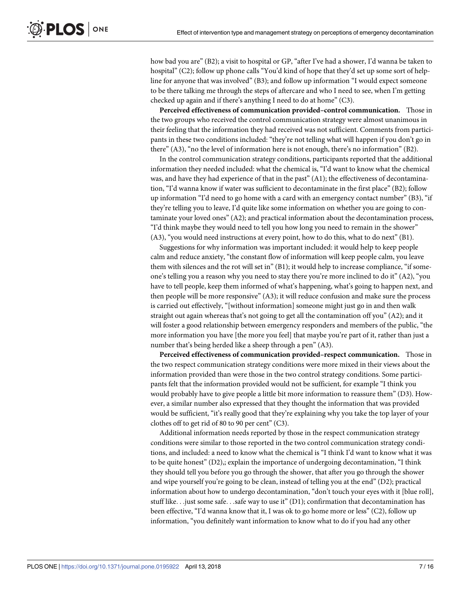how bad you are" (B2); a visit to hospital or GP, "after I've had a shower, I'd wanna be taken to hospital" (C2); follow up phone calls "You'd kind of hope that they'd set up some sort of helpline for anyone that was involved" (B3); and follow up information "I would expect someone to be there talking me through the steps of aftercare and who I need to see, when I'm getting checked up again and if there's anything I need to do at home" (C3).

**Perceived effectiveness of communication provided–control communication.** Those in the two groups who received the control communication strategy were almost unanimous in their feeling that the information they had received was not sufficient. Comments from participants in these two conditions included: "they're not telling what will happen if you don't go in there" (A3), "no the level of information here is not enough, there's no information" (B2).

In the control communication strategy conditions, participants reported that the additional information they needed included: what the chemical is, "I'd want to know what the chemical was, and have they had experience of that in the past" (A1); the effectiveness of decontamination, "I'd wanna know if water was sufficient to decontaminate in the first place" (B2); follow up information "I'd need to go home with a card with an emergency contact number" (B3), "if they're telling you to leave, I'd quite like some information on whether you are going to contaminate your loved ones" (A2); and practical information about the decontamination process, "I'd think maybe they would need to tell you how long you need to remain in the shower" (A3), "you would need instructions at every point, how to do this, what to do next" (B1).

Suggestions for why information was important included: it would help to keep people calm and reduce anxiety, "the constant flow of information will keep people calm, you leave them with silences and the rot will set in" (B1); it would help to increase compliance, "if someone's telling you a reason why you need to stay there you're more inclined to do it" (A2), "you have to tell people, keep them informed of what's happening, what's going to happen next, and then people will be more responsive" (A3); it will reduce confusion and make sure the process is carried out effectively, "[without information] someone might just go in and then walk straight out again whereas that's not going to get all the contamination off you" (A2); and it will foster a good relationship between emergency responders and members of the public, "the more information you have [the more you feel] that maybe you're part of it, rather than just a number that's being herded like a sheep through a pen" (A3).

**Perceived effectiveness of communication provided–respect communication.** Those in the two respect communication strategy conditions were more mixed in their views about the information provided than were those in the two control strategy conditions. Some participants felt that the information provided would not be sufficient, for example "I think you would probably have to give people a little bit more information to reassure them" (D3). However, a similar number also expressed that they thought the information that was provided would be sufficient, "it's really good that they're explaining why you take the top layer of your clothes off to get rid of 80 to 90 per cent" (C3).

Additional information needs reported by those in the respect communication strategy conditions were similar to those reported in the two control communication strategy conditions, and included: a need to know what the chemical is "I think I'd want to know what it was to be quite honest" (D2),; explain the importance of undergoing decontamination, "I think they should tell you before you go through the shower, that after you go through the shower and wipe yourself you're going to be clean, instead of telling you at the end"  $(D2)$ ; practical information about how to undergo decontamination, "don't touch your eyes with it [blue roll], stuff like. . .just some safe. . .safe way to use it" (D1); confirmation that decontamination has been effective, "I'd wanna know that it, I was ok to go home more or less" (C2), follow up information, "you definitely want information to know what to do if you had any other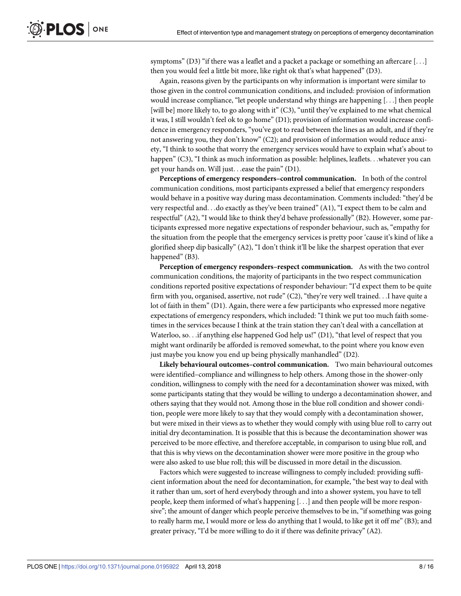symptoms" (D3) "if there was a leaflet and a packet a package or something an aftercare [. . .] then you would feel a little bit more, like right ok that's what happened" (D3).

Again, reasons given by the participants on why information is important were similar to those given in the control communication conditions, and included: provision of information would increase compliance, "let people understand why things are happening [. . .] then people [will be] more likely to, to go along with it" (C3), "until they've explained to me what chemical it was, I still wouldn't feel ok to go home" (D1); provision of information would increase confidence in emergency responders, "you've got to read between the lines as an adult, and if they're not answering you, they don't know" (C2); and provision of information would reduce anxiety, "I think to soothe that worry the emergency services would have to explain what's about to happen" (C3), "I think as much information as possible: helplines, leaflets. . .whatever you can get your hands on. Will just. . .ease the pain" (D1).

**Perceptions of emergency responders–control communication.** In both of the control communication conditions, most participants expressed a belief that emergency responders would behave in a positive way during mass decontamination. Comments included: "they'd be very respectful and. . .do exactly as they've been trained" (A1), "I expect them to be calm and respectful" (A2), "I would like to think they'd behave professionally" (B2). However, some participants expressed more negative expectations of responder behaviour, such as, "empathy for the situation from the people that the emergency services is pretty poor 'cause it's kind of like a glorified sheep dip basically" (A2), "I don't think it'll be like the sharpest operation that ever happened" (B3).

**Perception of emergency responders–respect communication.** As with the two control communication conditions, the majority of participants in the two respect communication conditions reported positive expectations of responder behaviour: "I'd expect them to be quite firm with you, organised, assertive, not rude" (C2), "they're very well trained. . .I have quite a lot of faith in them" (D1). Again, there were a few participants who expressed more negative expectations of emergency responders, which included: "I think we put too much faith sometimes in the services because I think at the train station they can't deal with a cancellation at Waterloo, so. . .if anything else happened God help us!" (D1), "that level of respect that you might want ordinarily be afforded is removed somewhat, to the point where you know even just maybe you know you end up being physically manhandled" (D2).

**Likely behavioural outcomes–control communication.** Two main behavioural outcomes were identified–compliance and willingness to help others. Among those in the shower-only condition, willingness to comply with the need for a decontamination shower was mixed, with some participants stating that they would be willing to undergo a decontamination shower, and others saying that they would not. Among those in the blue roll condition and shower condition, people were more likely to say that they would comply with a decontamination shower, but were mixed in their views as to whether they would comply with using blue roll to carry out initial dry decontamination. It is possible that this is because the decontamination shower was perceived to be more effective, and therefore acceptable, in comparison to using blue roll, and that this is why views on the decontamination shower were more positive in the group who were also asked to use blue roll; this will be discussed in more detail in the discussion.

Factors which were suggested to increase willingness to comply included: providing sufficient information about the need for decontamination, for example, "the best way to deal with it rather than um, sort of herd everybody through and into a shower system, you have to tell people, keep them informed of what's happening [. . .] and then people will be more responsive"; the amount of danger which people perceive themselves to be in, "if something was going to really harm me, I would more or less do anything that I would, to like get it off me" (B3); and greater privacy, "I'd be more willing to do it if there was definite privacy" (A2).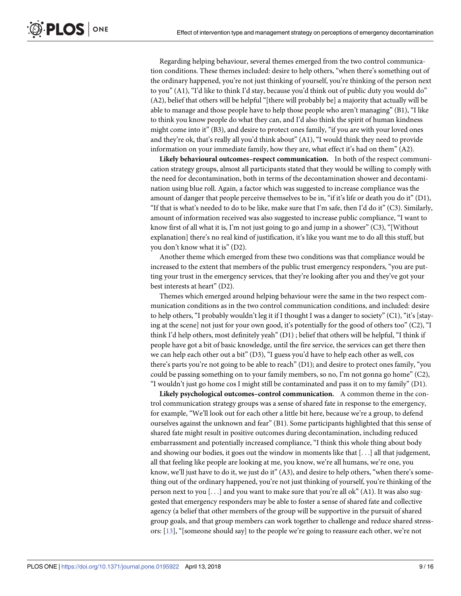<span id="page-8-0"></span>Regarding helping behaviour, several themes emerged from the two control communication conditions. These themes included: desire to help others, "when there's something out of the ordinary happened, you're not just thinking of yourself, you're thinking of the person next to you" (A1), "I'd like to think I'd stay, because you'd think out of public duty you would do" (A2), belief that others will be helpful "[there will probably be] a majority that actually will be able to manage and those people have to help those people who aren't managing" (B1), "I like to think you know people do what they can, and I'd also think the spirit of human kindness might come into it" (B3), and desire to protect ones family, "if you are with your loved ones and they're ok, that's really all you'd think about" (A1), "I would think they need to provide information on your immediate family, how they are, what effect it's had on them" (A2).

**Likely behavioural outcomes–respect communication.** In both of the respect communication strategy groups, almost all participants stated that they would be willing to comply with the need for decontamination, both in terms of the decontamination shower and decontamination using blue roll. Again, a factor which was suggested to increase compliance was the amount of danger that people perceive themselves to be in, "if it's life or death you do it" (D1), "If that is what's needed to do to be like, make sure that I'm safe, then I'd do it" (C3). Similarly, amount of information received was also suggested to increase public compliance, "I want to know first of all what it is, I'm not just going to go and jump in a shower" (C3), "[Without explanation] there's no real kind of justification, it's like you want me to do all this stuff, but you don't know what it is" (D2).

Another theme which emerged from these two conditions was that compliance would be increased to the extent that members of the public trust emergency responders, "you are putting your trust in the emergency services, that they're looking after you and they've got your best interests at heart" (D2).

Themes which emerged around helping behaviour were the same in the two respect communication conditions as in the two control communication conditions, and included: desire to help others, "I probably wouldn't leg it if I thought I was a danger to society" (C1), "it's [staying at the scene] not just for your own good, it's potentially for the good of others too" (C2), "I think I'd help others, most definitely yeah" (D1) ; belief that others will be helpful, "I think if people have got a bit of basic knowledge, until the fire service, the services can get there then we can help each other out a bit" (D3), "I guess you'd have to help each other as well, cos there's parts you're not going to be able to reach" (D1); and desire to protect ones family, "you could be passing something on to your family members, so no, I'm not gonna go home" (C2), "I wouldn't just go home cos I might still be contaminated and pass it on to my family" (D1).

**Likely psychological outcomes–control communication.** A common theme in the control communication strategy groups was a sense of shared fate in response to the emergency, for example, "We'll look out for each other a little bit here, because we're a group, to defend ourselves against the unknown and fear" (B1). Some participants highlighted that this sense of shared fate might result in positive outcomes during decontamination, including reduced embarrassment and potentially increased compliance, "I think this whole thing about body and showing our bodies, it goes out the window in moments like that  $[\ldots]$  all that judgement, all that feeling like people are looking at me, you know, we're all humans, we're one, you know, we'll just have to do it, we just do it" (A3), and desire to help others, "when there's something out of the ordinary happened, you're not just thinking of yourself, you're thinking of the person next to you  $[\ldots]$  and you want to make sure that you're all ok" (A1). It was also suggested that emergency responders may be able to foster a sense of shared fate and collective agency (a belief that other members of the group will be supportive in the pursuit of shared group goals, and that group members can work together to challenge and reduce shared stressors: [\[13\]](#page-15-0), "[someone should say] to the people we're going to reassure each other, we're not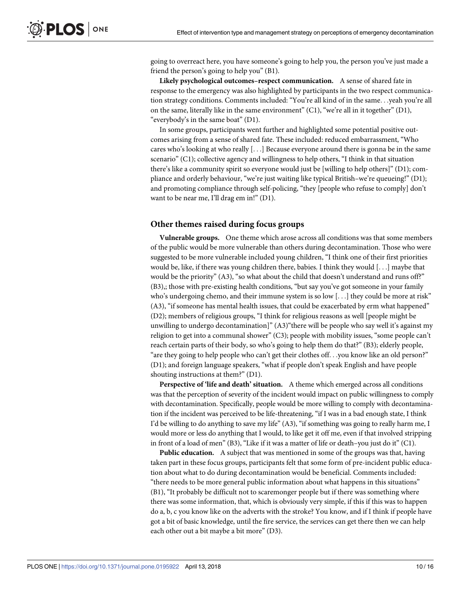going to overreact here, you have someone's going to help you, the person you've just made a friend the person's going to help you" (B1).

**Likely psychological outcomes–respect communication.** A sense of shared fate in response to the emergency was also highlighted by participants in the two respect communication strategy conditions. Comments included: "You're all kind of in the same. . .yeah you're all on the same, literally like in the same environment" (C1), "we're all in it together" (D1), "everybody's in the same boat" (D1).

In some groups, participants went further and highlighted some potential positive outcomes arising from a sense of shared fate. These included: reduced embarrassment, "Who cares who's looking at who really [. . .] Because everyone around there is gonna be in the same scenario" (C1); collective agency and willingness to help others, "I think in that situation there's like a community spirit so everyone would just be [willing to help others]" (D1); compliance and orderly behaviour, "we're just waiting like typical British–we're queueing!" (D1); and promoting compliance through self-policing, "they [people who refuse to comply] don't want to be near me, I'll drag em in!" (D1).

#### **Other themes raised during focus groups**

**Vulnerable groups.** One theme which arose across all conditions was that some members of the public would be more vulnerable than others during decontamination. Those who were suggested to be more vulnerable included young children, "I think one of their first priorities would be, like, if there was young children there, babies. I think they would [. . .] maybe that would be the priority" (A3), "so what about the child that doesn't understand and runs off?" (B3),; those with pre-existing health conditions, "but say you've got someone in your family who's undergoing chemo, and their immune system is so low  $[\ldots]$  they could be more at risk" (A3), "if someone has mental health issues, that could be exacerbated by erm what happened" (D2); members of religious groups, "I think for religious reasons as well [people might be unwilling to undergo decontamination]" (A3)"there will be people who say well it's against my religion to get into a communal shower" (C3); people with mobility issues, "some people can't reach certain parts of their body, so who's going to help them do that?" (B3); elderly people, "are they going to help people who can't get their clothes off. . .you know like an old person?" (D1); and foreign language speakers, "what if people don't speak English and have people shouting instructions at them?" (D1).

**Perspective of 'life and death' situation.** A theme which emerged across all conditions was that the perception of severity of the incident would impact on public willingness to comply with decontamination. Specifically, people would be more willing to comply with decontamination if the incident was perceived to be life-threatening, "if I was in a bad enough state, I think I'd be willing to do anything to save my life" (A3), "if something was going to really harm me, I would more or less do anything that I would, to like get it off me, even if that involved stripping in front of a load of men" (B3), "Like if it was a matter of life or death–you just do it" (C1).

**Public education.** A subject that was mentioned in some of the groups was that, having taken part in these focus groups, participants felt that some form of pre-incident public education about what to do during decontamination would be beneficial. Comments included: "there needs to be more general public information about what happens in this situations" (B1), "It probably be difficult not to scaremonger people but if there was something where there was some information, that, which is obviously very simple, if this if this was to happen do a, b, c you know like on the adverts with the stroke? You know, and if I think if people have got a bit of basic knowledge, until the fire service, the services can get there then we can help each other out a bit maybe a bit more" (D3).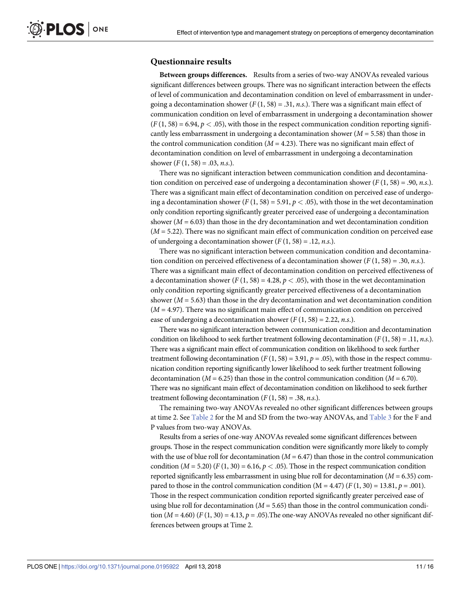#### <span id="page-10-0"></span>**Questionnaire results**

**Between groups differences.** Results from a series of two-way ANOVAs revealed various significant differences between groups. There was no significant interaction between the effects of level of communication and decontamination condition on level of embarrassment in undergoing a decontamination shower  $(F(1, 58) = .31, n.s.)$ . There was a significant main effect of communication condition on level of embarrassment in undergoing a decontamination shower  $(F(1, 58) = 6.94, p < .05)$ , with those in the respect communication condition reporting significantly less embarrassment in undergoing a decontamination shower (*M* = 5.58) than those in the control communication condition  $(M = 4.23)$ . There was no significant main effect of decontamination condition on level of embarrassment in undergoing a decontamination shower  $(F(1, 58) = .03, n.s.).$ 

There was no significant interaction between communication condition and decontamination condition on perceived ease of undergoing a decontamination shower  $(F(1, 58) = .90, n.s.).$ There was a significant main effect of decontamination condition on perceived ease of undergoing a decontamination shower  $(F(1, 58) = 5.91, p < .05)$ , with those in the wet decontamination only condition reporting significantly greater perceived ease of undergoing a decontamination shower ( $M = 6.03$ ) than those in the dry decontamination and wet decontamination condition (*M* = 5.22). There was no significant main effect of communication condition on perceived ease of undergoing a decontamination shower  $(F(1, 58) = .12, n.s.).$ 

There was no significant interaction between communication condition and decontamination condition on perceived effectiveness of a decontamination shower  $(F(1, 58) = .30, n.s.).$ There was a significant main effect of decontamination condition on perceived effectiveness of a decontamination shower ( $F(1, 58) = 4.28$ ,  $p < .05$ ), with those in the wet decontamination only condition reporting significantly greater perceived effectiveness of a decontamination shower ( $M = 5.63$ ) than those in the dry decontamination and wet decontamination condition (*M* = 4.97). There was no significant main effect of communication condition on perceived ease of undergoing a decontamination shower  $(F(1, 58) = 2.22, n.s.).$ 

There was no significant interaction between communication condition and decontamination condition on likelihood to seek further treatment following decontamination  $(F(1, 58) = .11, n.s.).$ There was a significant main effect of communication condition on likelihood to seek further treatment following decontamination ( $F(1, 58) = 3.91$ ,  $p = .05$ ), with those in the respect communication condition reporting significantly lower likelihood to seek further treatment following decontamination ( $M = 6.25$ ) than those in the control communication condition ( $M = 6.70$ ). There was no significant main effect of decontamination condition on likelihood to seek further treatment following decontamination  $(F(1, 58) = .38, n.s.).$ 

The remaining two-way ANOVAs revealed no other significant differences between groups at time 2. See [Table](#page-11-0) 2 for the M and SD from the two-way ANOVAs, and [Table](#page-11-0) 3 for the F and P values from two-way ANOVAs.

Results from a series of one-way ANOVAs revealed some significant differences between groups. Those in the respect communication condition were significantly more likely to comply with the use of blue roll for decontamination  $(M = 6.47)$  than those in the control communication condition  $(M = 5.20)$   $(F(1, 30) = 6.16, p < .05)$ . Those in the respect communication condition reported significantly less embarrassment in using blue roll for decontamination (*M* = 6.35) compared to those in the control communication condition  $(M = 4.47)$   $(F(1, 30) = 13.81, p = .001)$ . Those in the respect communication condition reported significantly greater perceived ease of using blue roll for decontamination (*M* = 5.65) than those in the control communication condition  $(M = 4.60)$   $(F(1, 30) = 4.13, p = .05)$ . The one-way ANOVAs revealed no other significant differences between groups at Time 2.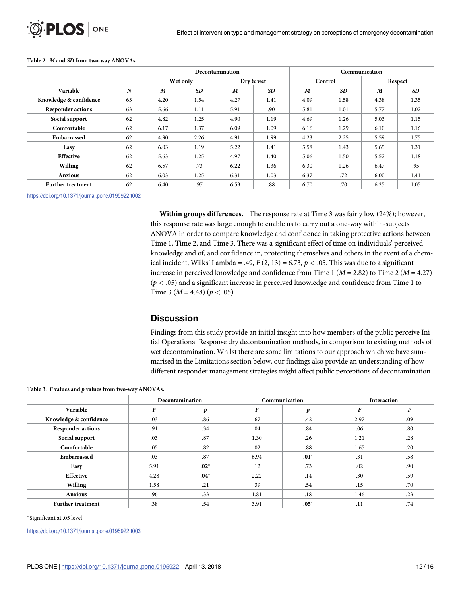|                          |                  | Decontamination |           |           |           | Communication |           |         |           |
|--------------------------|------------------|-----------------|-----------|-----------|-----------|---------------|-----------|---------|-----------|
|                          |                  | Wet only        |           | Dry & wet |           | Control       |           | Respect |           |
| Variable                 | $\boldsymbol{N}$ | M               | <b>SD</b> | M         | <b>SD</b> | M             | <b>SD</b> | M       | <b>SD</b> |
| Knowledge & confidence   | 63               | 4.20            | 1.54      | 4.27      | 1.41      | 4.09          | 1.58      | 4.38    | 1.35      |
| <b>Responder actions</b> | 63               | 5.66            | 1.11      | 5.91      | .90       | 5.81          | 1.01      | 5.77    | 1.02      |
| Social support           | 62               | 4.82            | 1.25      | 4.90      | 1.19      | 4.69          | 1.26      | 5.03    | 1.15      |
| Comfortable              | 62               | 6.17            | 1.37      | 6.09      | 1.09      | 6.16          | 1.29      | 6.10    | 1.16      |
| Embarrassed              | 62               | 4.90            | 2.26      | 4.91      | 1.99      | 4.23          | 2.25      | 5.59    | 1.75      |
| Easy                     | 62               | 6.03            | 1.19      | 5.22      | 1.41      | 5.58          | 1.43      | 5.65    | 1.31      |
| Effective                | 62               | 5.63            | 1.25      | 4.97      | 1.40      | 5.06          | 1.50      | 5.52    | 1.18      |
| Willing                  | 62               | 6.57            | .73       | 6.22      | 1.36      | 6.30          | 1.26      | 6.47    | .95       |
| <b>Anxious</b>           | 62               | 6.03            | 1.25      | 6.31      | 1.03      | 6.37          | .72       | 6.00    | 1.41      |
| <b>Further treatment</b> | 62               | 6.40            | .97       | 6.53      | .88       | 6.70          | .70       | 6.25    | 1.05      |

#### <span id="page-11-0"></span>**[Table](#page-10-0) 2.** *M* **and** *SD* **from two-way ANOVAs.**

<https://doi.org/10.1371/journal.pone.0195922.t002>

**Within groups differences.** The response rate at Time 3 was fairly low (24%); however, this response rate was large enough to enable us to carry out a one-way within-subjects ANOVA in order to compare knowledge and confidence in taking protective actions between Time 1, Time 2, and Time 3. There was a significant effect of time on individuals' perceived knowledge and of, and confidence in, protecting themselves and others in the event of a chemical incident, Wilks' Lambda = .49,  $F(2, 13) = 6.73$ ,  $p < .05$ . This was due to a significant increase in perceived knowledge and confidence from Time 1 (*M* = 2.82) to Time 2 (*M* = 4.27)  $(p < .05)$  and a significant increase in perceived knowledge and confidence from Time 1 to Time 3 ( $M = 4.48$ ) ( $p < .05$ ).

#### **Discussion**

Findings from this study provide an initial insight into how members of the public perceive Initial Operational Response dry decontamination methods, in comparison to existing methods of wet decontamination. Whilst there are some limitations to our approach which we have summarised in the Limitations section below, our findings also provide an understanding of how different responder management strategies might affect public perceptions of decontamination

#### **[Table](#page-10-0) 3.** *F* **values and** *p* **values from two-way ANOVAs.**

|                          |      | Decontamination |      | Communication | Interaction |     |  |
|--------------------------|------|-----------------|------|---------------|-------------|-----|--|
| Variable                 | F    | p               | F    | p             | F           | P   |  |
| Knowledge & confidence   | .03  | .86             | .67  | .42           | 2.97        | .09 |  |
| <b>Responder actions</b> | .91  | .34             | .04  | .84           | .06         | .80 |  |
| Social support           | .03  | .87             | 1.30 | .26           | 1.21        | .28 |  |
| Comfortable              | .05  | .82             | .02  | .88           | 1.65        | .20 |  |
| Embarrassed              | .03  | .87             | 6.94 | $.01*$        | .31         | .58 |  |
| Easy                     | 5.91 | $.02*$          | .12  | .73           | .02         | .90 |  |
| Effective                | 4.28 | $.04*$          | 2.22 | .14           | .30         | .59 |  |
| Willing                  | 1.58 | .21             | .39  | .54           | .15         | .70 |  |
| <b>Anxious</b>           | .96  | .33             | 1.81 | .18           | 1.46        | .23 |  |
| <b>Further treatment</b> | .38  | .54             | 3.91 | $.05*$        | .11         | .74 |  |

Significant at .05 level

<https://doi.org/10.1371/journal.pone.0195922.t003>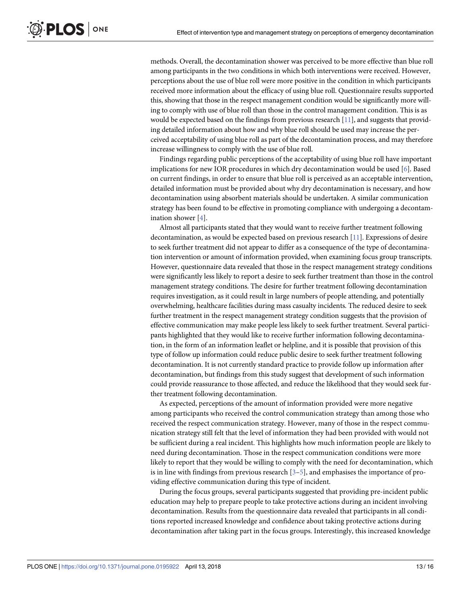methods. Overall, the decontamination shower was perceived to be more effective than blue roll among participants in the two conditions in which both interventions were received. However, perceptions about the use of blue roll were more positive in the condition in which participants received more information about the efficacy of using blue roll. Questionnaire results supported this, showing that those in the respect management condition would be significantly more willing to comply with use of blue roll than those in the control management condition. This is as would be expected based on the findings from previous research [\[11\]](#page-15-0), and suggests that providing detailed information about how and why blue roll should be used may increase the perceived acceptability of using blue roll as part of the decontamination process, and may therefore increase willingness to comply with the use of blue roll.

Findings regarding public perceptions of the acceptability of using blue roll have important implications for new IOR procedures in which dry decontamination would be used [\[6](#page-14-0)]. Based on current findings, in order to ensure that blue roll is perceived as an acceptable intervention, detailed information must be provided about why dry decontamination is necessary, and how decontamination using absorbent materials should be undertaken. A similar communication strategy has been found to be effective in promoting compliance with undergoing a decontamination shower [\[4](#page-14-0)].

Almost all participants stated that they would want to receive further treatment following decontamination, as would be expected based on previous research [[11\]](#page-15-0). Expressions of desire to seek further treatment did not appear to differ as a consequence of the type of decontamination intervention or amount of information provided, when examining focus group transcripts. However, questionnaire data revealed that those in the respect management strategy conditions were significantly less likely to report a desire to seek further treatment than those in the control management strategy conditions. The desire for further treatment following decontamination requires investigation, as it could result in large numbers of people attending, and potentially overwhelming, healthcare facilities during mass casualty incidents. The reduced desire to seek further treatment in the respect management strategy condition suggests that the provision of effective communication may make people less likely to seek further treatment. Several participants highlighted that they would like to receive further information following decontamination, in the form of an information leaflet or helpline, and it is possible that provision of this type of follow up information could reduce public desire to seek further treatment following decontamination. It is not currently standard practice to provide follow up information after decontamination, but findings from this study suggest that development of such information could provide reassurance to those affected, and reduce the likelihood that they would seek further treatment following decontamination.

As expected, perceptions of the amount of information provided were more negative among participants who received the control communication strategy than among those who received the respect communication strategy. However, many of those in the respect communication strategy still felt that the level of information they had been provided with would not be sufficient during a real incident. This highlights how much information people are likely to need during decontamination. Those in the respect communication conditions were more likely to report that they would be willing to comply with the need for decontamination, which is in line with findings from previous research  $[3-5]$ , and emphasises the importance of providing effective communication during this type of incident.

During the focus groups, several participants suggested that providing pre-incident public education may help to prepare people to take protective actions during an incident involving decontamination. Results from the questionnaire data revealed that participants in all conditions reported increased knowledge and confidence about taking protective actions during decontamination after taking part in the focus groups. Interestingly, this increased knowledge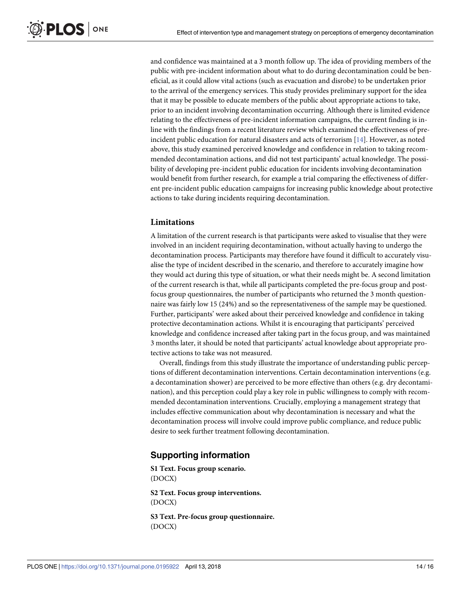<span id="page-13-0"></span>and confidence was maintained at a 3 month follow up. The idea of providing members of the public with pre-incident information about what to do during decontamination could be beneficial, as it could allow vital actions (such as evacuation and disrobe) to be undertaken prior to the arrival of the emergency services. This study provides preliminary support for the idea that it may be possible to educate members of the public about appropriate actions to take, prior to an incident involving decontamination occurring. Although there is limited evidence relating to the effectiveness of pre-incident information campaigns, the current finding is inline with the findings from a recent literature review which examined the effectiveness of preincident public education for natural disasters and acts of terrorism [\[14\]](#page-15-0). However, as noted above, this study examined perceived knowledge and confidence in relation to taking recommended decontamination actions, and did not test participants' actual knowledge. The possibility of developing pre-incident public education for incidents involving decontamination would benefit from further research, for example a trial comparing the effectiveness of different pre-incident public education campaigns for increasing public knowledge about protective actions to take during incidents requiring decontamination.

#### **Limitations**

A limitation of the current research is that participants were asked to visualise that they were involved in an incident requiring decontamination, without actually having to undergo the decontamination process. Participants may therefore have found it difficult to accurately visualise the type of incident described in the scenario, and therefore to accurately imagine how they would act during this type of situation, or what their needs might be. A second limitation of the current research is that, while all participants completed the pre-focus group and postfocus group questionnaires, the number of participants who returned the 3 month questionnaire was fairly low 15 (24%) and so the representativeness of the sample may be questioned. Further, participants' were asked about their perceived knowledge and confidence in taking protective decontamination actions. Whilst it is encouraging that participants' perceived knowledge and confidence increased after taking part in the focus group, and was maintained 3 months later, it should be noted that participants' actual knowledge about appropriate protective actions to take was not measured.

Overall, findings from this study illustrate the importance of understanding public perceptions of different decontamination interventions. Certain decontamination interventions (e.g. a decontamination shower) are perceived to be more effective than others (e.g. dry decontamination), and this perception could play a key role in public willingness to comply with recommended decontamination interventions. Crucially, employing a management strategy that includes effective communication about why decontamination is necessary and what the decontamination process will involve could improve public compliance, and reduce public desire to seek further treatment following decontamination.

#### **Supporting information**

**S1 [Text](http://www.plosone.org/article/fetchSingleRepresentation.action?uri=info:doi/10.1371/journal.pone.0195922.s001). Focus group scenario.** (DOCX) **S2 [Text](http://www.plosone.org/article/fetchSingleRepresentation.action?uri=info:doi/10.1371/journal.pone.0195922.s002). Focus group interventions.** (DOCX) **S3 [Text](http://www.plosone.org/article/fetchSingleRepresentation.action?uri=info:doi/10.1371/journal.pone.0195922.s003). Pre-focus group questionnaire.**

(DOCX)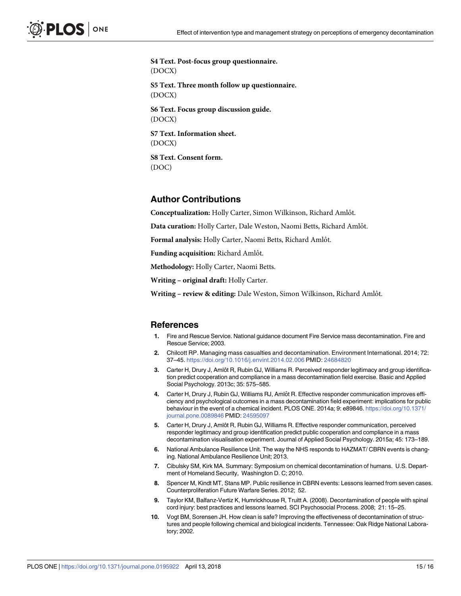<span id="page-14-0"></span>**S4 [Text](http://www.plosone.org/article/fetchSingleRepresentation.action?uri=info:doi/10.1371/journal.pone.0195922.s004). Post-focus group questionnaire.** (DOCX) **S5 [Text](http://www.plosone.org/article/fetchSingleRepresentation.action?uri=info:doi/10.1371/journal.pone.0195922.s005). Three month follow up questionnaire.** (DOCX) **S6 [Text](http://www.plosone.org/article/fetchSingleRepresentation.action?uri=info:doi/10.1371/journal.pone.0195922.s006). Focus group discussion guide.** (DOCX) **S7 [Text](http://www.plosone.org/article/fetchSingleRepresentation.action?uri=info:doi/10.1371/journal.pone.0195922.s007). Information sheet.** (DOCX) **S8 [Text](http://www.plosone.org/article/fetchSingleRepresentation.action?uri=info:doi/10.1371/journal.pone.0195922.s008). Consent form.** (DOC)

#### **Author Contributions**

**Conceptualization:** Holly Carter, Simon Wilkinson, Richard Amlôt.

**Data curation:** Holly Carter, Dale Weston, Naomi Betts, Richard Amlôt.

Formal analysis: Holly Carter, Naomi Betts, Richard Amlôt.

**Funding acquisition:** Richard Amlôt.

**Methodology:** Holly Carter, Naomi Betts.

**Writing – original draft:** Holly Carter.

**Writing – review & editing:** Dale Weston, Simon Wilkinson, Richard Amloˆt.

#### **References**

- **[1](#page-0-0).** Fire and Rescue Service. National guidance document Fire Service mass decontamination. Fire and Rescue Service; 2003.
- **[2](#page-1-0).** Chilcott RP. Managing mass casualties and decontamination. Environment International. 2014; 72: 37–45. <https://doi.org/10.1016/j.envint.2014.02.006> PMID: [24684820](http://www.ncbi.nlm.nih.gov/pubmed/24684820)
- **[3](#page-1-0).** Carter H, Drury J, Amlôt R, Rubin GJ, Williams R. Perceived responder legitimacy and group identification predict cooperation and compliance in a mass decontamination field exercise. Basic and Applied Social Psychology. 2013c; 35: 575–585.
- **[4](#page-1-0).** Carter H, Drury J, Rubin GJ, Williams RJ, Amlôt R. Effective responder communication improves efficiency and psychological outcomes in a mass decontamination field experiment: implications for public behaviour in the event of a chemical incident. PLOS ONE. 2014a; 9: e89846. [https://doi.org/10.1371/](https://doi.org/10.1371/journal.pone.0089846) [journal.pone.0089846](https://doi.org/10.1371/journal.pone.0089846) PMID: [24595097](http://www.ncbi.nlm.nih.gov/pubmed/24595097)
- **[5](#page-1-0).** Carter H, Drury J, Amlôt R, Rubin GJ, Williams R. Effective responder communication, perceived responder legitimacy and group identification predict public cooperation and compliance in a mass decontamination visualisation experiment. Journal of Applied Social Psychology. 2015a; 45: 173–189.
- **[6](#page-1-0).** National Ambulance Resilience Unit. The way the NHS responds to HAZMAT/ CBRN events is changing. National Ambulance Resilience Unit; 2013.
- **[7](#page-1-0).** Cibulsky SM, Kirk MA. Summary: Symposium on chemical decontamination of humans. U.S. Department of Homeland Security, Washington D. C; 2010.
- **[8](#page-1-0).** Spencer M, Kindt MT, Stans MP. Public resilience in CBRN events: Lessons learned from seven cases. Counterproliferation Future Warfare Series. 2012; 52.
- **9.** Taylor KM, Balfanz-Vertiz K, Humrickhouse R, Truitt A. (2008). Decontamination of people with spinal cord injury: best practices and lessons learned. SCI Psychosocial Process. 2008; 21: 15–25.
- **[10](#page-1-0).** Vogt BM, Sorensen JH. How clean is safe? Improving the effectiveness of decontamination of structures and people following chemical and biological incidents. Tennessee: Oak Ridge National Laboratory; 2002.